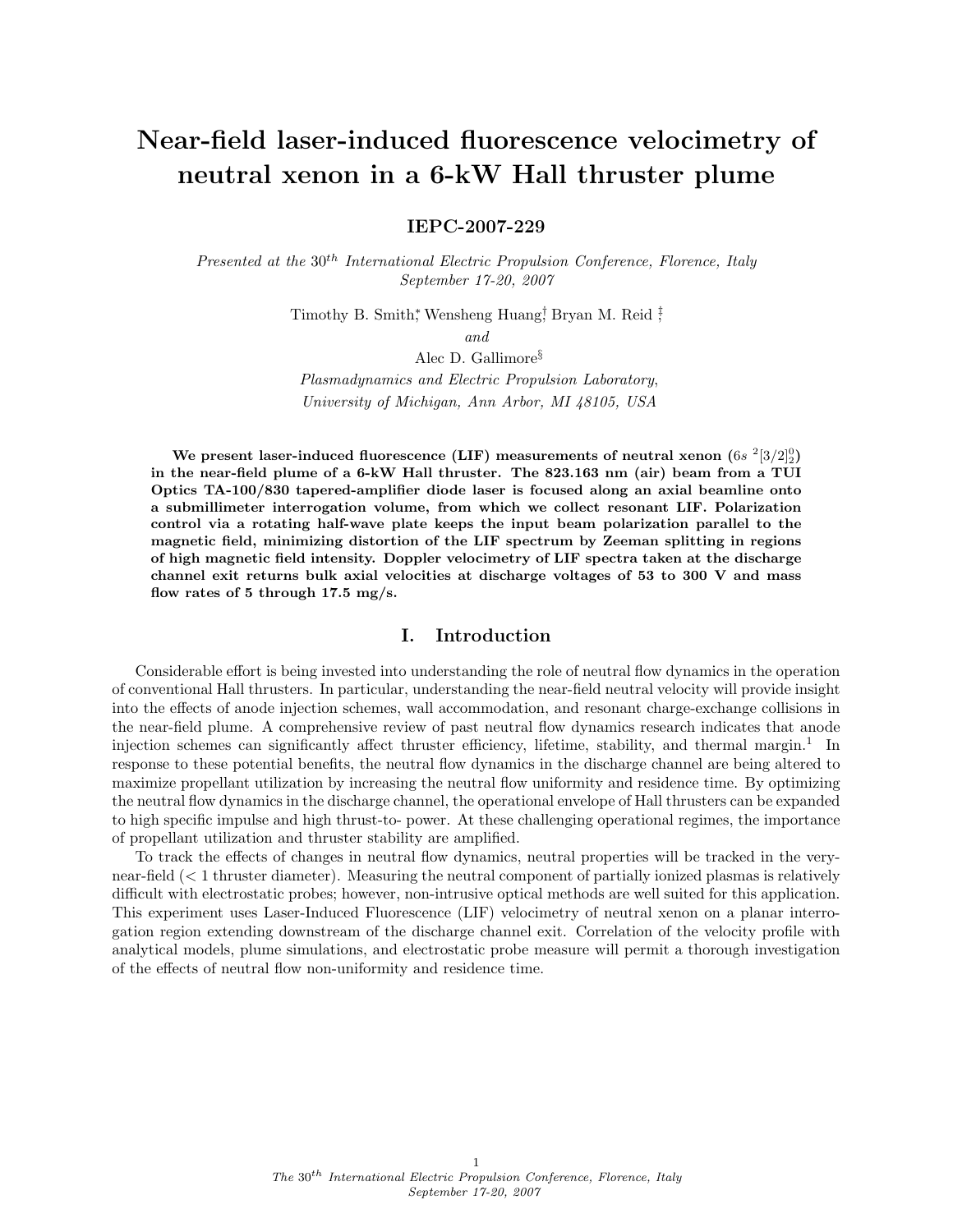# Near-field laser-induced fluorescence velocimetry of neutral xenon in a 6-kW Hall thruster plume

IEPC-2007-229

Presented at the 30<sup>th</sup> International Electric Propulsion Conference, Florence, Italy September 17-20, 2007

Timothy B. Smith<sup>\*</sup>, Wensheng Huang<sup>†</sup>, Bryan M. Reid <sup>‡</sup>;

and

Alec D. Gallimore§

Plasmadynamics and Electric Propulsion Laboratory, University of Michigan, Ann Arbor, MI 48105, USA

We present laser-induced fluorescence (LIF) measurements of neutral xenon  $(6s ~^2[3/2]_2^0)$ in the near-field plume of a 6-kW Hall thruster. The 823.163 nm (air) beam from a TUI Optics TA-100/830 tapered-amplifier diode laser is focused along an axial beamline onto a submillimeter interrogation volume, from which we collect resonant LIF. Polarization control via a rotating half-wave plate keeps the input beam polarization parallel to the magnetic field, minimizing distortion of the LIF spectrum by Zeeman splitting in regions of high magnetic field intensity. Doppler velocimetry of LIF spectra taken at the discharge channel exit returns bulk axial velocities at discharge voltages of 53 to 300 V and mass flow rates of 5 through 17.5 mg/s.

# I. Introduction

Considerable effort is being invested into understanding the role of neutral flow dynamics in the operation of conventional Hall thrusters. In particular, understanding the near-field neutral velocity will provide insight into the effects of anode injection schemes, wall accommodation, and resonant charge-exchange collisions in the near-field plume. A comprehensive review of past neutral flow dynamics research indicates that anode injection schemes can significantly affect thruster efficiency, lifetime, stability, and thermal margin.<sup>1</sup> In response to these potential benefits, the neutral flow dynamics in the discharge channel are being altered to maximize propellant utilization by increasing the neutral flow uniformity and residence time. By optimizing the neutral flow dynamics in the discharge channel, the operational envelope of Hall thrusters can be expanded to high specific impulse and high thrust-to- power. At these challenging operational regimes, the importance of propellant utilization and thruster stability are amplified.

To track the effects of changes in neutral flow dynamics, neutral properties will be tracked in the verynear-field (< 1 thruster diameter). Measuring the neutral component of partially ionized plasmas is relatively difficult with electrostatic probes; however, non-intrusive optical methods are well suited for this application. This experiment uses Laser-Induced Fluorescence (LIF) velocimetry of neutral xenon on a planar interrogation region extending downstream of the discharge channel exit. Correlation of the velocity profile with analytical models, plume simulations, and electrostatic probe measure will permit a thorough investigation of the effects of neutral flow non-uniformity and residence time.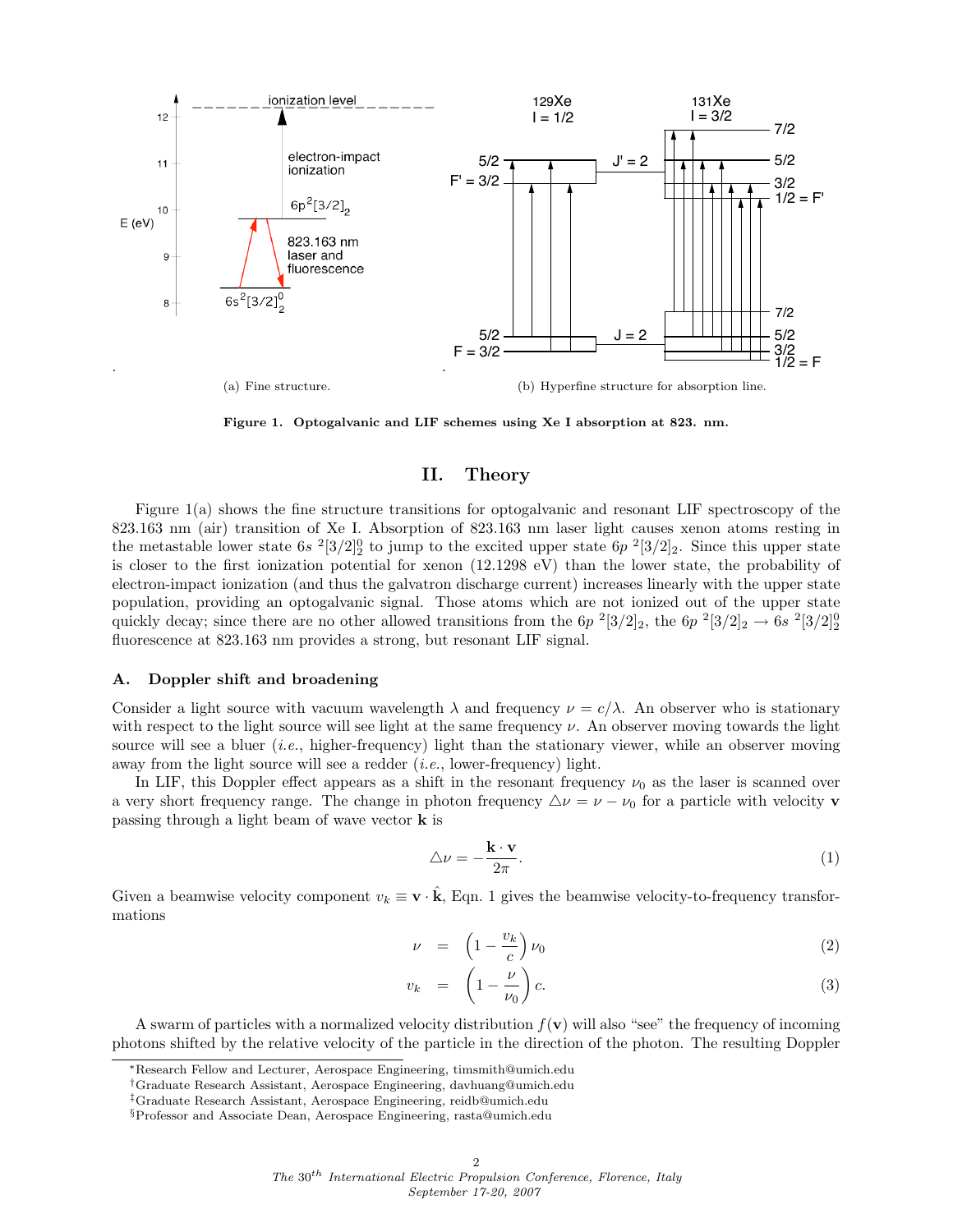

Figure 1. Optogalvanic and LIF schemes using Xe I absorption at 823. nm.

# II. Theory

Figure 1(a) shows the fine structure transitions for optogalvanic and resonant LIF spectroscopy of the 823.163 nm (air) transition of Xe I. Absorption of 823.163 nm laser light causes xenon atoms resting in the metastable lower state  $6s^{2}[3/2]_{2}^{0}$  to jump to the excited upper state  $6p^{2}[3/2]_{2}$ . Since this upper state is closer to the first ionization potential for xenon (12.1298 eV) than the lower state, the probability of electron-impact ionization (and thus the galvatron discharge current) increases linearly with the upper state population, providing an optogalvanic signal. Those atoms which are not ionized out of the upper state quickly decay; since there are no other allowed transitions from the  $6p^2[3/2]_2$ , the  $6p^2[3/2]_2 \rightarrow 6s^2[3/2]_2^0$ fluorescence at 823.163 nm provides a strong, but resonant LIF signal.

#### A. Doppler shift and broadening

Consider a light source with vacuum wavelength  $\lambda$  and frequency  $\nu = c/\lambda$ . An observer who is stationary with respect to the light source will see light at the same frequency  $\nu$ . An observer moving towards the light source will see a bluer  $(i.e.,$  higher-frequency) light than the stationary viewer, while an observer moving away from the light source will see a redder *(i.e., lower-frequency)* light.

In LIF, this Doppler effect appears as a shift in the resonant frequency  $\nu_0$  as the laser is scanned over a very short frequency range. The change in photon frequency  $\Delta \nu = \nu - \nu_0$  for a particle with velocity **v** passing through a light beam of wave vector k is

$$
\triangle \nu = -\frac{\mathbf{k} \cdot \mathbf{v}}{2\pi}.\tag{1}
$$

Given a beamwise velocity component  $v_k \equiv \mathbf{v} \cdot \hat{\mathbf{k}}$ , Eqn. 1 gives the beamwise velocity-to-frequency transformations

$$
\nu = \left(1 - \frac{v_k}{c}\right)\nu_0 \tag{2}
$$

$$
v_k = \left(1 - \frac{\nu}{\nu_0}\right)c. \tag{3}
$$

A swarm of particles with a normalized velocity distribution  $f(\mathbf{v})$  will also "see" the frequency of incoming photons shifted by the relative velocity of the particle in the direction of the photon. The resulting Doppler

<sup>∗</sup>Research Fellow and Lecturer, Aerospace Engineering, timsmith@umich.edu

<sup>†</sup>Graduate Research Assistant, Aerospace Engineering, davhuang@umich.edu

<sup>‡</sup>Graduate Research Assistant, Aerospace Engineering, reidb@umich.edu

<sup>§</sup>Professor and Associate Dean, Aerospace Engineering, rasta@umich.edu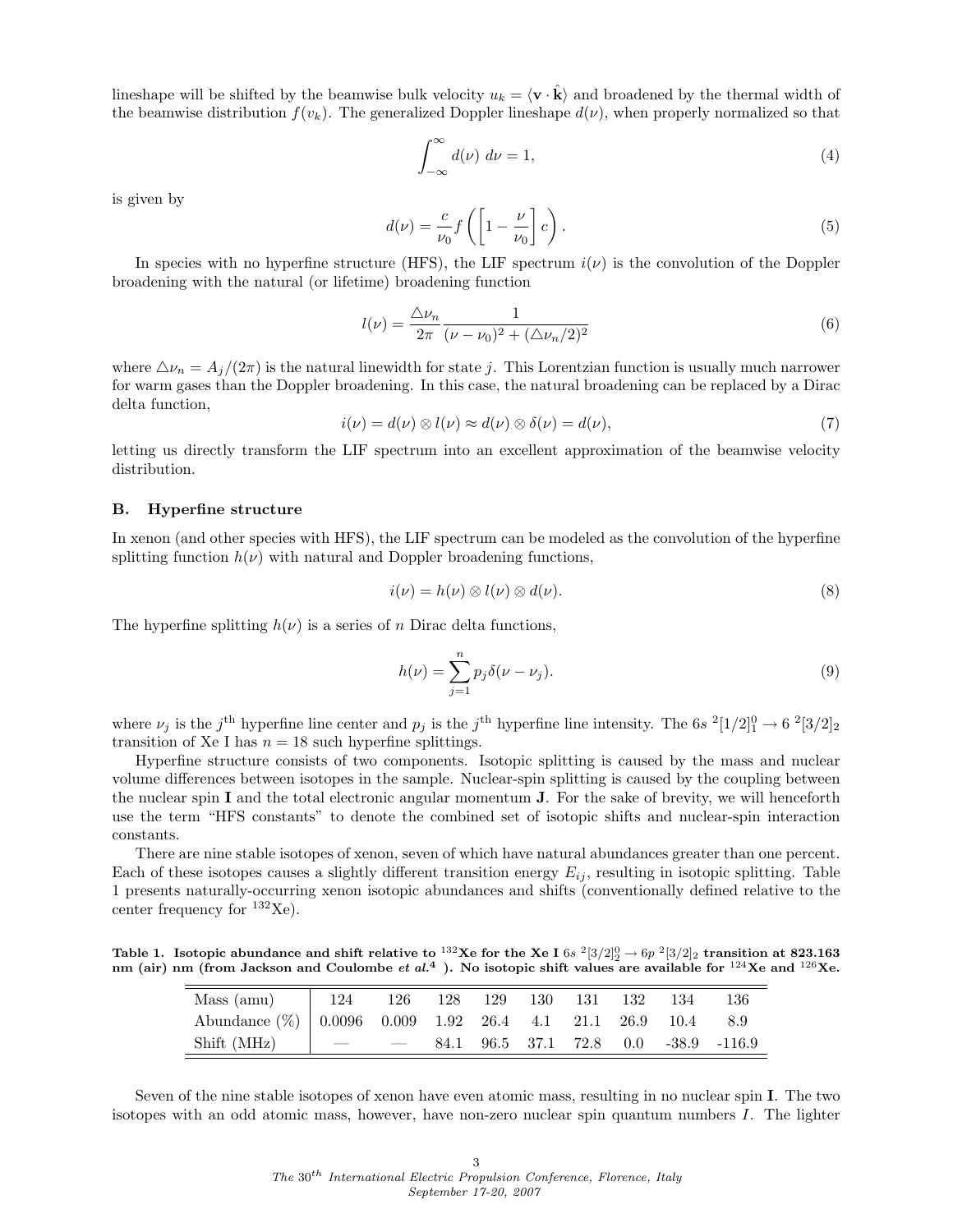lineshape will be shifted by the beamwise bulk velocity  $u_k = \langle v \cdot \hat{k} \rangle$  and broadened by the thermal width of the beamwise distribution  $f(v_k)$ . The generalized Doppler lineshape  $d(v)$ , when properly normalized so that

$$
\int_{-\infty}^{\infty} d(\nu) \, d\nu = 1,\tag{4}
$$

is given by

$$
d(\nu) = \frac{c}{\nu_0} f\left(\left[1 - \frac{\nu}{\nu_0}\right] c\right). \tag{5}
$$

In species with no hyperfine structure (HFS), the LIF spectrum  $i(\nu)$  is the convolution of the Doppler broadening with the natural (or lifetime) broadening function

$$
l(\nu) = \frac{\Delta \nu_n}{2\pi} \frac{1}{(\nu - \nu_0)^2 + (\Delta \nu_n/2)^2}
$$
(6)

where  $\Delta \nu_n = A_j/(2\pi)$  is the natural linewidth for state j. This Lorentzian function is usually much narrower for warm gases than the Doppler broadening. In this case, the natural broadening can be replaced by a Dirac delta function,

$$
i(\nu) = d(\nu) \otimes l(\nu) \approx d(\nu) \otimes \delta(\nu) = d(\nu),\tag{7}
$$

letting us directly transform the LIF spectrum into an excellent approximation of the beamwise velocity distribution.

#### B. Hyperfine structure

In xenon (and other species with HFS), the LIF spectrum can be modeled as the convolution of the hyperfine splitting function  $h(\nu)$  with natural and Doppler broadening functions,

$$
i(\nu) = h(\nu) \otimes l(\nu) \otimes d(\nu). \tag{8}
$$

The hyperfine splitting  $h(\nu)$  is a series of n Dirac delta functions,

$$
h(\nu) = \sum_{j=1}^{n} p_j \delta(\nu - \nu_j).
$$
\n(9)

where  $\nu_j$  is the j<sup>th</sup> hyperfine line center and  $p_j$  is the j<sup>th</sup> hyperfine line intensity. The 6s  $\frac{2[1/2]_1^0}{\sim} \frac{6}{5} \frac{2[3/2]_2}{\sim}$ transition of Xe I has  $n = 18$  such hyperfine splittings.

Hyperfine structure consists of two components. Isotopic splitting is caused by the mass and nuclear volume differences between isotopes in the sample. Nuclear-spin splitting is caused by the coupling between the nuclear spin I and the total electronic angular momentum  $J$ . For the sake of brevity, we will henceforth use the term "HFS constants" to denote the combined set of isotopic shifts and nuclear-spin interaction constants.

There are nine stable isotopes of xenon, seven of which have natural abundances greater than one percent. Each of these isotopes causes a slightly different transition energy  $E_{ij}$ , resulting in isotopic splitting. Table 1 presents naturally-occurring xenon isotopic abundances and shifts (conventionally defined relative to the center frequency for  $^{132}$ Xe).

Table 1. Isotopic abundance and shift relative to <sup>132</sup>Xe for the Xe I 6s  $2[3/2]_2^0 \rightarrow 6p^2[3/2]_2$  transition at 823.163 nm (air) nm (from Jackson and Coulombe *et al.*<sup>4</sup>). No isotopic shift values are available for <sup>124</sup>Xe and <sup>126</sup>Xe.

| Mass (amu)   124 126 128 129 130 131 132 134                |  |  |  |  | -136                                     |
|-------------------------------------------------------------|--|--|--|--|------------------------------------------|
| Abundance (%) 0.0096 0.009 1.92 26.4 4.1 21.1 26.9 10.4 8.9 |  |  |  |  |                                          |
| Shift (MHz) $\qquad$ $\qquad$                               |  |  |  |  | $-$ 84.1 96.5 37.1 72.8 0.0 -38.9 -116.9 |

Seven of the nine stable isotopes of xenon have even atomic mass, resulting in no nuclear spin I. The two isotopes with an odd atomic mass, however, have non-zero nuclear spin quantum numbers I. The lighter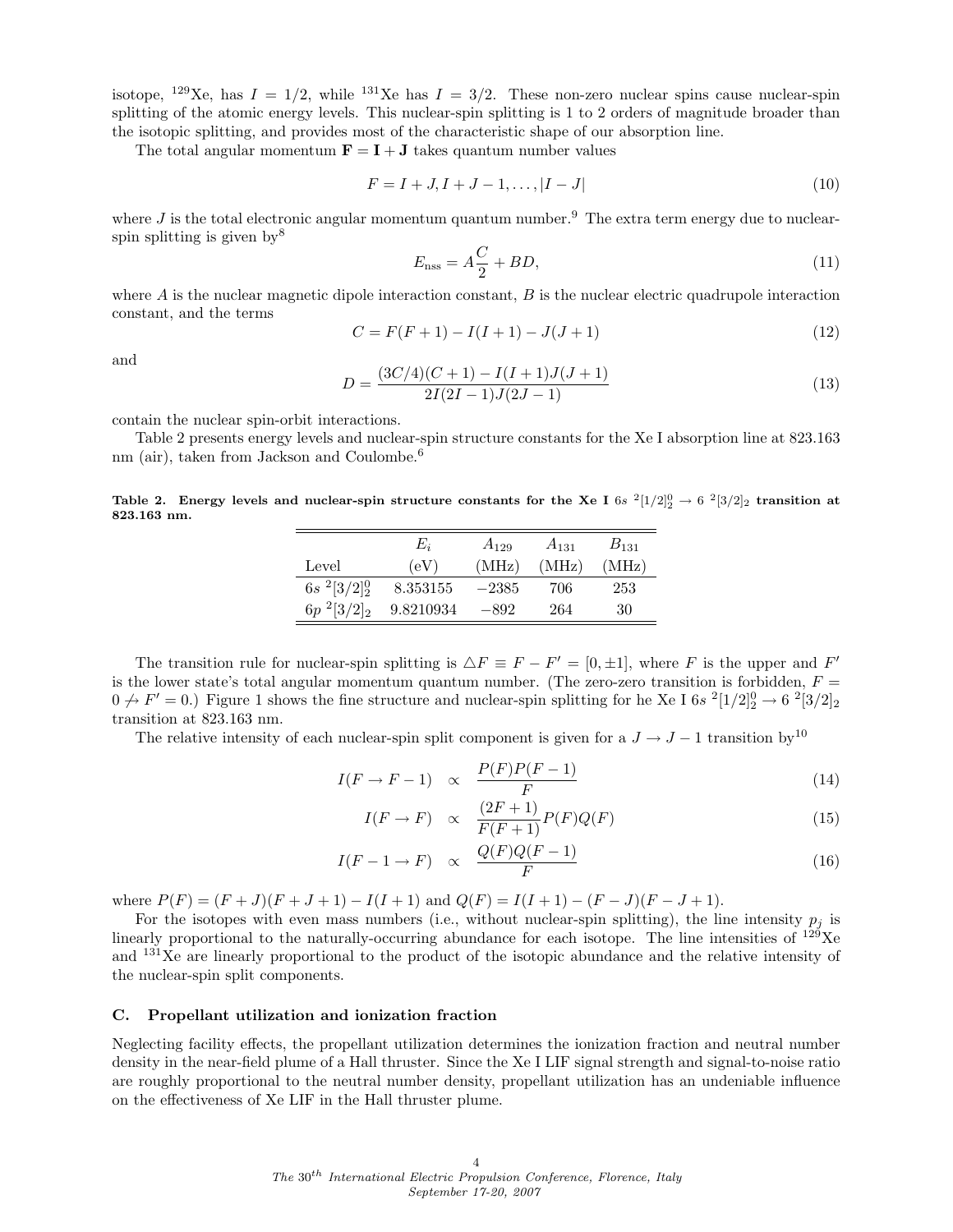isotope, <sup>129</sup>Xe, has  $I = 1/2$ , while <sup>131</sup>Xe has  $I = 3/2$ . These non-zero nuclear spins cause nuclear-spin splitting of the atomic energy levels. This nuclear-spin splitting is 1 to 2 orders of magnitude broader than the isotopic splitting, and provides most of the characteristic shape of our absorption line.

The total angular momentum  $\mathbf{F} = \mathbf{I} + \mathbf{J}$  takes quantum number values

$$
F = I + J, I + J - 1, \dots, |I - J| \tag{10}
$$

where  $J$  is the total electronic angular momentum quantum number.<sup>9</sup> The extra term energy due to nuclearspin splitting is given  $bv^8$ 

$$
E_{\rm nss} = A\frac{C}{2} + BD,\tag{11}
$$

where  $A$  is the nuclear magnetic dipole interaction constant,  $B$  is the nuclear electric quadrupole interaction constant, and the terms

$$
C = F(F + 1) - I(I + 1) - J(J + 1)
$$
\n(12)

and

$$
D = \frac{(3C/4)(C+1) - I(I+1)J(J+1)}{2I(2I-1)J(2J-1)}
$$
\n(13)

contain the nuclear spin-orbit interactions.

Table 2 presents energy levels and nuclear-spin structure constants for the Xe I absorption line at 823.163 nm (air), taken from Jackson and Coulombe.<sup>6</sup>

Table 2. Energy levels and nuclear-spin structure constants for the Xe I 6s  $2[1/2]^0_2 \rightarrow 6$   $2[3/2]_2$  transition at 823.163 nm.

|                       | $E_i$     | $A_{129}$ | $A_{131}$ | $B_{131}$ |
|-----------------------|-----------|-----------|-----------|-----------|
| Level                 | (eV)      | (MHz)     | (MHz)     | (MHz)     |
| $6s^{2}[3/2]_{2}^{0}$ | 8.353155  | $-2385$   | 706       | 253       |
| $6p^{2}[3/2]_{2}$     | 9.8210934 | -892      | 264       | 30        |

The transition rule for nuclear-spin splitting is  $\Delta F \equiv F - F' = [0, \pm 1]$ , where F is the upper and F' is the lower state's total angular momentum quantum number. (The zero-zero transition is forbidden,  $F =$  $0 \nrightarrow F' = 0.$ ) Figure 1 shows the fine structure and nuclear-spin splitting for he Xe I 6s  $^{2}[1/2]_{2}^{0} \rightarrow 6$   $^{2}[3/2]_{2}$ transition at 823.163 nm.

The relative intensity of each nuclear-spin split component is given for a  $J \to J - 1$  transition by<sup>10</sup>

$$
I(F \to F - 1) \propto \frac{P(F)P(F - 1)}{F}
$$
\n(14)

$$
I(F \to F) \quad \propto \quad \frac{(2F+1)}{F(F+1)} P(F) Q(F) \tag{15}
$$

$$
I(F-1 \to F) \propto \frac{Q(F)Q(F-1)}{F}
$$
\n(16)

where  $P(F) = (F + J)(F + J + 1) - I(I + 1)$  and  $Q(F) = I(I + 1) - (F - J)(F - J + 1)$ .

For the isotopes with even mass numbers (i.e., without nuclear-spin splitting), the line intensity  $p_i$  is linearly proportional to the naturally-occurring abundance for each isotope. The line intensities of  $129$ Xe and <sup>131</sup>Xe are linearly proportional to the product of the isotopic abundance and the relative intensity of the nuclear-spin split components.

#### C. Propellant utilization and ionization fraction

Neglecting facility effects, the propellant utilization determines the ionization fraction and neutral number density in the near-field plume of a Hall thruster. Since the Xe I LIF signal strength and signal-to-noise ratio are roughly proportional to the neutral number density, propellant utilization has an undeniable influence on the effectiveness of Xe LIF in the Hall thruster plume.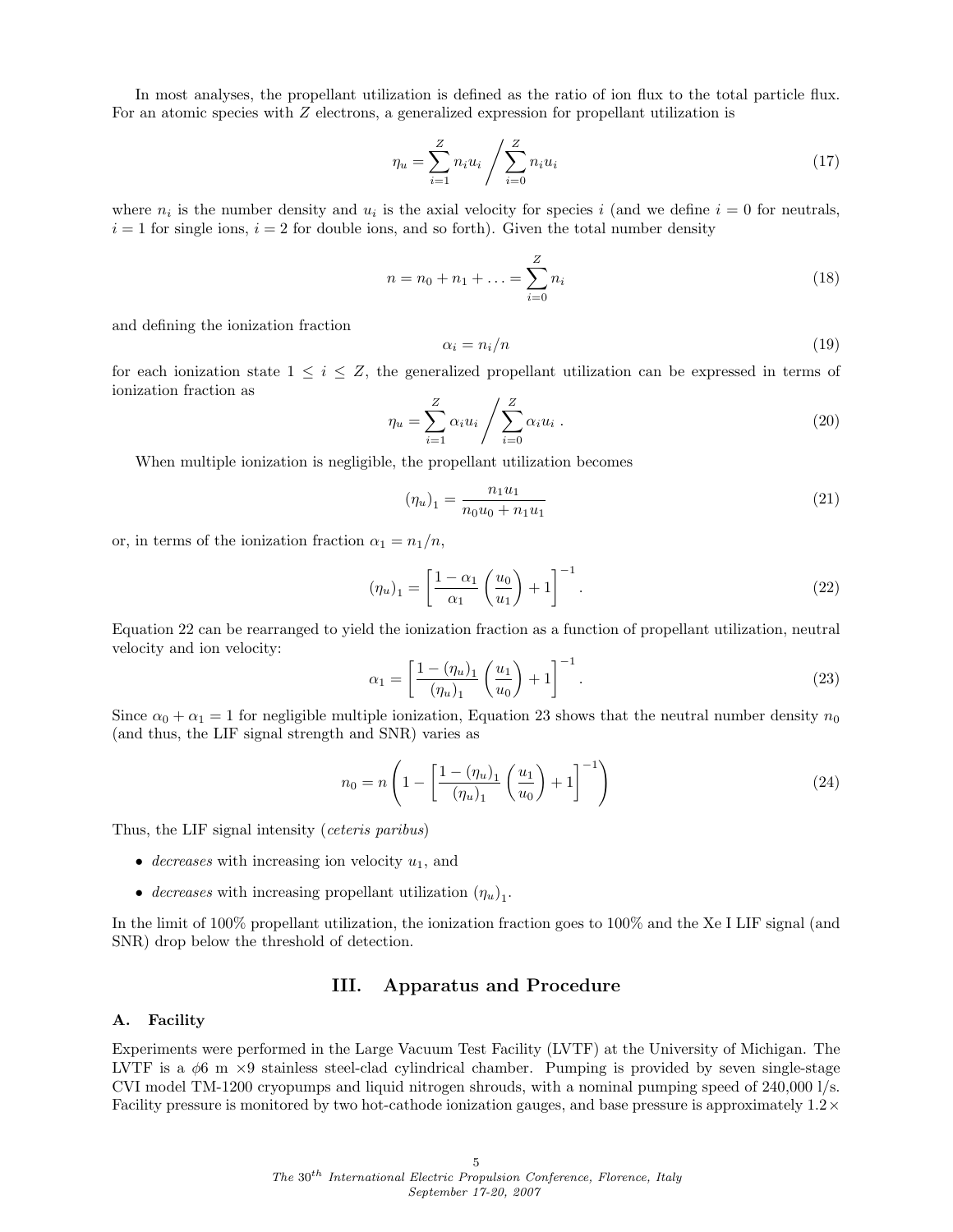In most analyses, the propellant utilization is defined as the ratio of ion flux to the total particle flux. For an atomic species with Z electrons, a generalized expression for propellant utilization is

$$
\eta_u = \sum_{i=1}^{Z} n_i u_i / \sum_{i=0}^{Z} n_i u_i
$$
\n(17)

where  $n_i$  is the number density and  $u_i$  is the axial velocity for species i (and we define  $i = 0$  for neutrals,  $i = 1$  for single ions,  $i = 2$  for double ions, and so forth). Given the total number density

$$
n = n_0 + n_1 + \dots = \sum_{i=0}^{Z} n_i
$$
 (18)

and defining the ionization fraction

$$
\alpha_i = n_i/n \tag{19}
$$

for each ionization state  $1 \leq i \leq Z$ , the generalized propellant utilization can be expressed in terms of ionization fraction as

$$
\eta_u = \sum_{i=1}^Z \alpha_i u_i / \sum_{i=0}^Z \alpha_i u_i . \qquad (20)
$$

When multiple ionization is negligible, the propellant utilization becomes

$$
(\eta_u)_1 = \frac{n_1 u_1}{n_0 u_0 + n_1 u_1} \tag{21}
$$

or, in terms of the ionization fraction  $\alpha_1 = n_1/n$ ,

$$
(\eta_u)_1 = \left[\frac{1-\alpha_1}{\alpha_1}\left(\frac{u_0}{u_1}\right) + 1\right]^{-1}.\tag{22}
$$

Equation 22 can be rearranged to yield the ionization fraction as a function of propellant utilization, neutral velocity and ion velocity:

$$
\alpha_1 = \left[\frac{1 - (\eta_u)_1}{(\eta_u)_1} \left(\frac{u_1}{u_0}\right) + 1\right]^{-1}.\tag{23}
$$

Since  $\alpha_0 + \alpha_1 = 1$  for negligible multiple ionization, Equation 23 shows that the neutral number density  $n_0$ (and thus, the LIF signal strength and SNR) varies as

$$
n_0 = n \left( 1 - \left[ \frac{1 - (\eta_u)_1}{(\eta_u)_1} \left( \frac{u_1}{u_0} \right) + 1 \right]^{-1} \right) \tag{24}
$$

Thus, the LIF signal intensity (ceteris paribus)

- decreases with increasing ion velocity  $u_1$ , and
- decreases with increasing propellant utilization  $(\eta_u)_1$ .

In the limit of 100% propellant utilization, the ionization fraction goes to 100% and the Xe I LIF signal (and SNR) drop below the threshold of detection.

# III. Apparatus and Procedure

#### A. Facility

Experiments were performed in the Large Vacuum Test Facility (LVTF) at the University of Michigan. The LVTF is a  $\phi$ 6 m  $\times$ 9 stainless steel-clad cylindrical chamber. Pumping is provided by seven single-stage CVI model TM-1200 cryopumps and liquid nitrogen shrouds, with a nominal pumping speed of 240,000 l/s. Facility pressure is monitored by two hot-cathode ionization gauges, and base pressure is approximately  $1.2\times$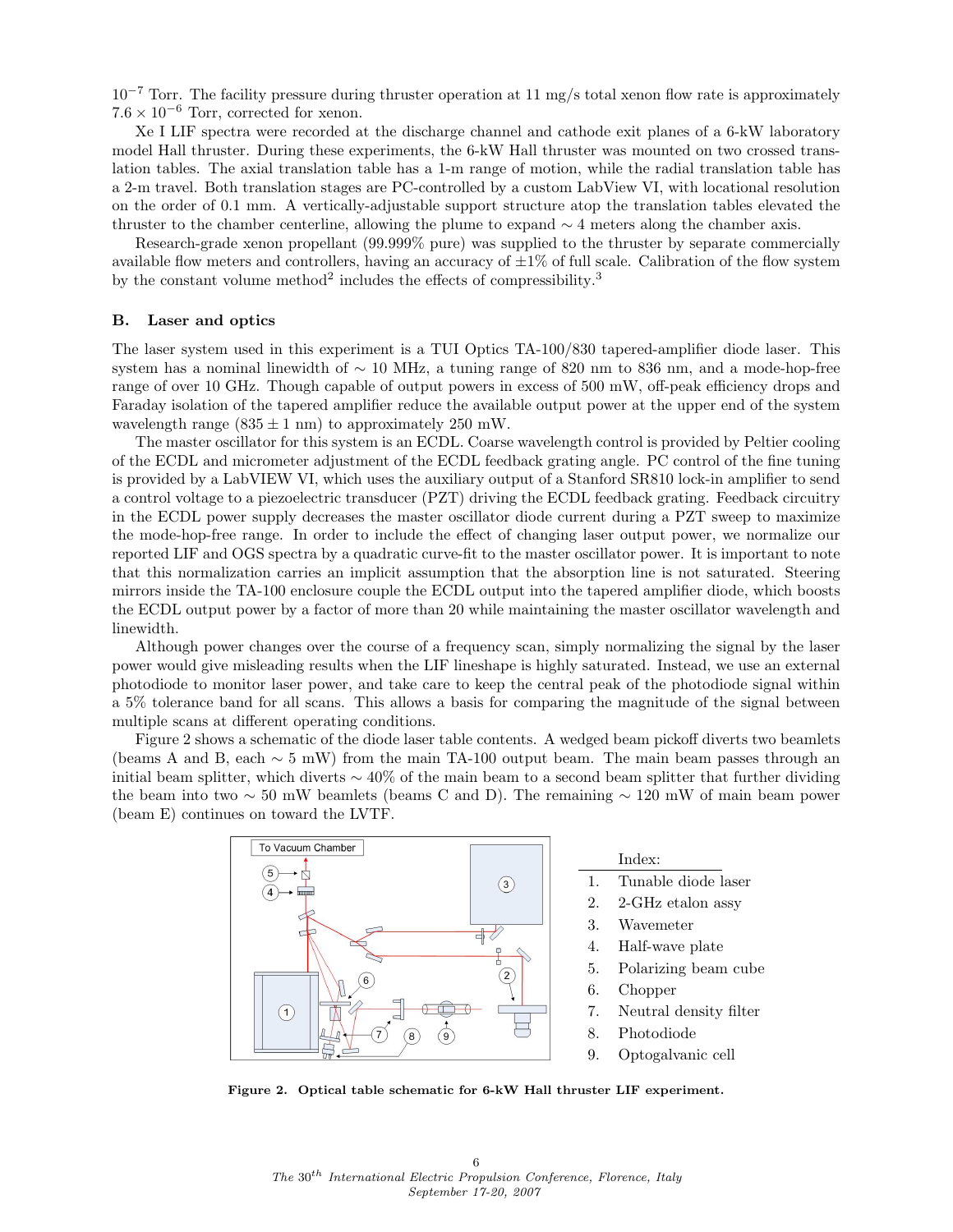$10^{-7}$  Torr. The facility pressure during thruster operation at 11 mg/s total xenon flow rate is approximately  $7.6 \times 10^{-6}$  Torr, corrected for xenon.

Xe I LIF spectra were recorded at the discharge channel and cathode exit planes of a 6-kW laboratory model Hall thruster. During these experiments, the 6-kW Hall thruster was mounted on two crossed translation tables. The axial translation table has a 1-m range of motion, while the radial translation table has a 2-m travel. Both translation stages are PC-controlled by a custom LabView VI, with locational resolution on the order of 0.1 mm. A vertically-adjustable support structure atop the translation tables elevated the thruster to the chamber centerline, allowing the plume to expand ∼ 4 meters along the chamber axis.

Research-grade xenon propellant (99.999% pure) was supplied to the thruster by separate commercially available flow meters and controllers, having an accuracy of  $\pm 1\%$  of full scale. Calibration of the flow system by the constant volume method<sup>2</sup> includes the effects of compressibility.<sup>3</sup>

## B. Laser and optics

The laser system used in this experiment is a TUI Optics TA-100/830 tapered-amplifier diode laser. This system has a nominal linewidth of ~ 10 MHz, a tuning range of 820 nm to 836 nm, and a mode-hop-free range of over 10 GHz. Though capable of output powers in excess of 500 mW, off-peak efficiency drops and Faraday isolation of the tapered amplifier reduce the available output power at the upper end of the system wavelength range  $(835 \pm 1 \text{ nm})$  to approximately 250 mW.

The master oscillator for this system is an ECDL. Coarse wavelength control is provided by Peltier cooling of the ECDL and micrometer adjustment of the ECDL feedback grating angle. PC control of the fine tuning is provided by a LabVIEW VI, which uses the auxiliary output of a Stanford SR810 lock-in amplifier to send a control voltage to a piezoelectric transducer (PZT) driving the ECDL feedback grating. Feedback circuitry in the ECDL power supply decreases the master oscillator diode current during a PZT sweep to maximize the mode-hop-free range. In order to include the effect of changing laser output power, we normalize our reported LIF and OGS spectra by a quadratic curve-fit to the master oscillator power. It is important to note that this normalization carries an implicit assumption that the absorption line is not saturated. Steering mirrors inside the TA-100 enclosure couple the ECDL output into the tapered amplifier diode, which boosts the ECDL output power by a factor of more than 20 while maintaining the master oscillator wavelength and linewidth.

Although power changes over the course of a frequency scan, simply normalizing the signal by the laser power would give misleading results when the LIF lineshape is highly saturated. Instead, we use an external photodiode to monitor laser power, and take care to keep the central peak of the photodiode signal within a 5% tolerance band for all scans. This allows a basis for comparing the magnitude of the signal between multiple scans at different operating conditions.

Figure 2 shows a schematic of the diode laser table contents. A wedged beam pickoff diverts two beamlets (beams A and B, each  $\sim 5$  mW) from the main TA-100 output beam. The main beam passes through an initial beam splitter, which diverts  $\sim 40\%$  of the main beam to a second beam splitter that further dividing the beam into two  $\sim 50$  mW beamlets (beams C and D). The remaining  $\sim 120$  mW of main beam power (beam E) continues on toward the LVTF.



Figure 2. Optical table schematic for 6-kW Hall thruster LIF experiment.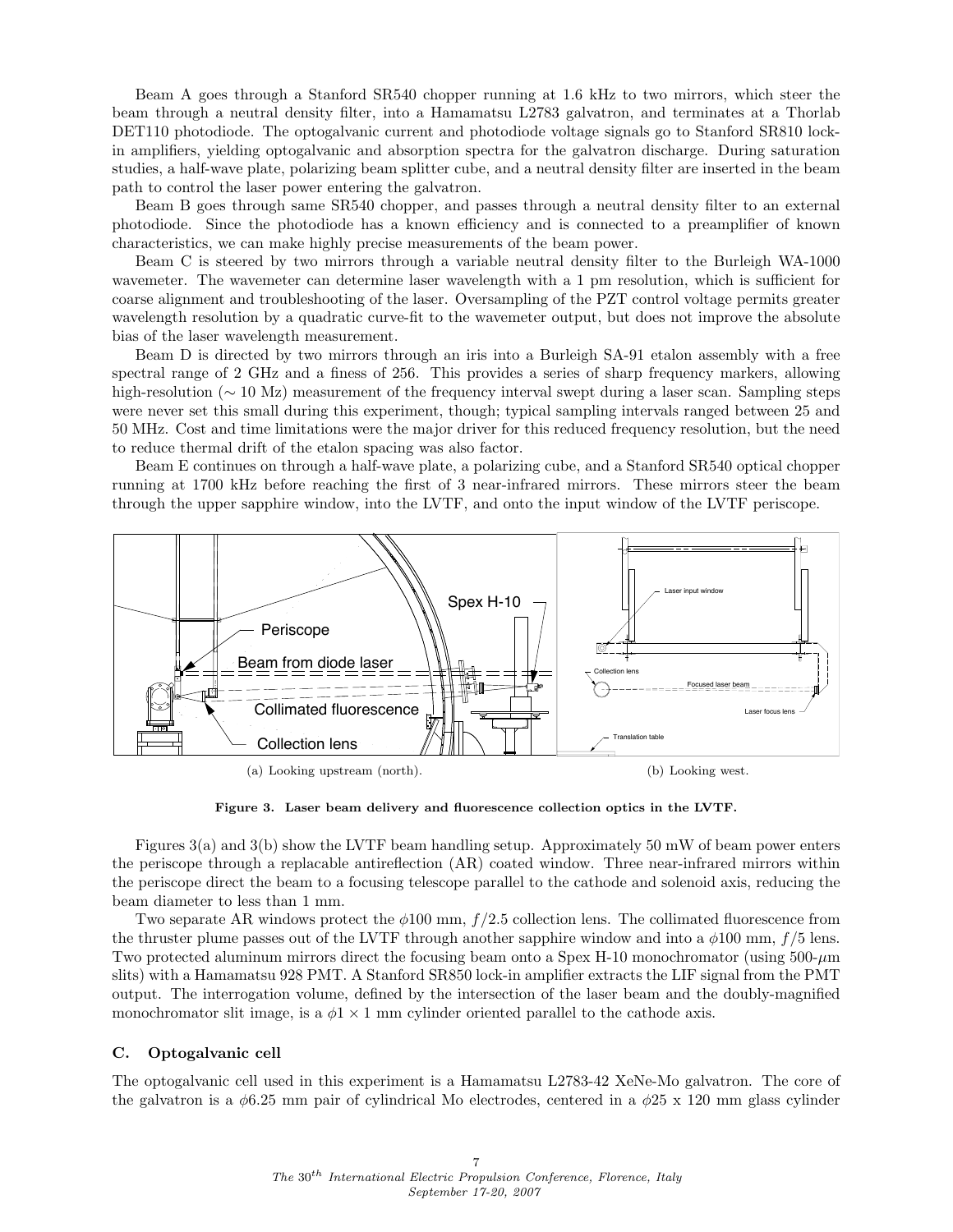Beam A goes through a Stanford SR540 chopper running at 1.6 kHz to two mirrors, which steer the beam through a neutral density filter, into a Hamamatsu L2783 galvatron, and terminates at a Thorlab DET110 photodiode. The optogalvanic current and photodiode voltage signals go to Stanford SR810 lockin amplifiers, yielding optogalvanic and absorption spectra for the galvatron discharge. During saturation studies, a half-wave plate, polarizing beam splitter cube, and a neutral density filter are inserted in the beam path to control the laser power entering the galvatron.

Beam B goes through same SR540 chopper, and passes through a neutral density filter to an external photodiode. Since the photodiode has a known efficiency and is connected to a preamplifier of known characteristics, we can make highly precise measurements of the beam power.

Beam C is steered by two mirrors through a variable neutral density filter to the Burleigh WA-1000 wavemeter. The wavemeter can determine laser wavelength with a 1 pm resolution, which is sufficient for coarse alignment and troubleshooting of the laser. Oversampling of the PZT control voltage permits greater wavelength resolution by a quadratic curve-fit to the wavemeter output, but does not improve the absolute bias of the laser wavelength measurement.

Beam D is directed by two mirrors through an iris into a Burleigh SA-91 etalon assembly with a free spectral range of 2 GHz and a finess of 256. This provides a series of sharp frequency markers, allowing high-resolution (∼ 10 Mz) measurement of the frequency interval swept during a laser scan. Sampling steps were never set this small during this experiment, though; typical sampling intervals ranged between 25 and 50 MHz. Cost and time limitations were the major driver for this reduced frequency resolution, but the need to reduce thermal drift of the etalon spacing was also factor.

Beam E continues on through a half-wave plate, a polarizing cube, and a Stanford SR540 optical chopper running at 1700 kHz before reaching the first of 3 near-infrared mirrors. These mirrors steer the beam through the upper sapphire window, into the LVTF, and onto the input window of the LVTF periscope.



Figure 3. Laser beam delivery and fluorescence collection optics in the LVTF.

Figures 3(a) and 3(b) show the LVTF beam handling setup. Approximately 50 mW of beam power enters the periscope through a replacable antireflection (AR) coated window. Three near-infrared mirrors within the periscope direct the beam to a focusing telescope parallel to the cathode and solenoid axis, reducing the beam diameter to less than 1 mm.

Two separate AR windows protect the  $\phi$ 100 mm,  $f/2.5$  collection lens. The collimated fluorescence from the thruster plume passes out of the LVTF through another sapphire window and into a  $\phi$ 100 mm,  $f/5$  lens. Two protected aluminum mirrors direct the focusing beam onto a Spex H-10 monochromator (using 500-µm slits) with a Hamamatsu 928 PMT. A Stanford SR850 lock-in amplifier extracts the LIF signal from the PMT output. The interrogation volume, defined by the intersection of the laser beam and the doubly-magnified monochromator slit image, is a  $\phi$ 1 × 1 mm cylinder oriented parallel to the cathode axis.

#### C. Optogalvanic cell

The optogalvanic cell used in this experiment is a Hamamatsu L2783-42 XeNe-Mo galvatron. The core of the galvatron is a  $\phi$ 6.25 mm pair of cylindrical Mo electrodes, centered in a  $\phi$ 25 x 120 mm glass cylinder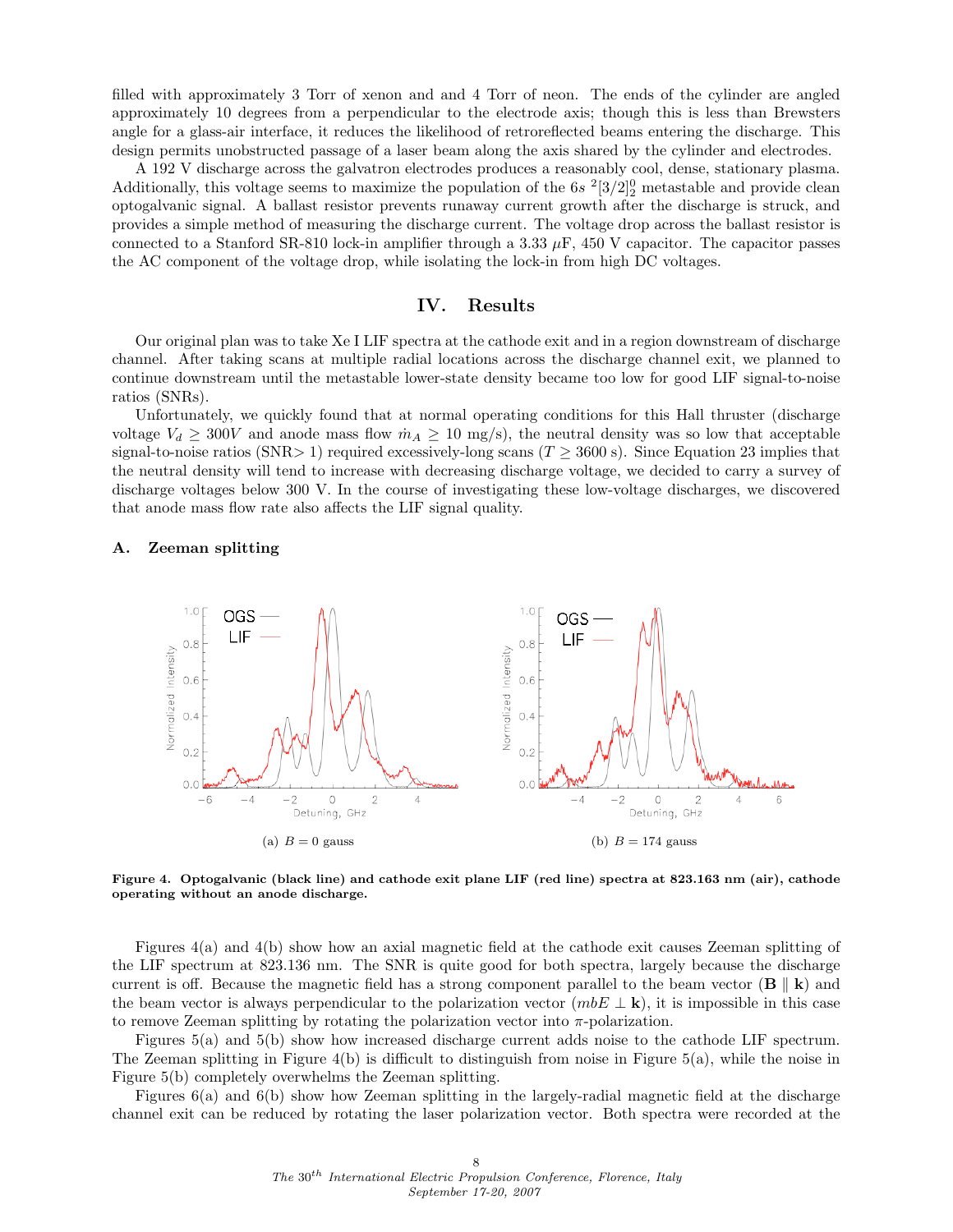filled with approximately 3 Torr of xenon and and 4 Torr of neon. The ends of the cylinder are angled approximately 10 degrees from a perpendicular to the electrode axis; though this is less than Brewsters angle for a glass-air interface, it reduces the likelihood of retroreflected beams entering the discharge. This design permits unobstructed passage of a laser beam along the axis shared by the cylinder and electrodes.

A 192 V discharge across the galvatron electrodes produces a reasonably cool, dense, stationary plasma. Additionally, this voltage seems to maximize the population of the  $6s^{2}[3/2]_{2}^{0}$  metastable and provide clean optogalvanic signal. A ballast resistor prevents runaway current growth after the discharge is struck, and provides a simple method of measuring the discharge current. The voltage drop across the ballast resistor is connected to a Stanford SR-810 lock-in amplifier through a 3.33  $\mu$ F, 450 V capacitor. The capacitor passes the AC component of the voltage drop, while isolating the lock-in from high DC voltages.

# IV. Results

Our original plan was to take Xe I LIF spectra at the cathode exit and in a region downstream of discharge channel. After taking scans at multiple radial locations across the discharge channel exit, we planned to continue downstream until the metastable lower-state density became too low for good LIF signal-to-noise ratios (SNRs).

Unfortunately, we quickly found that at normal operating conditions for this Hall thruster (discharge voltage  $V_d \geq 300V$  and anode mass flow  $\dot{m}_A \geq 10$  mg/s), the neutral density was so low that acceptable signal-to-noise ratios (SNR> 1) required excessively-long scans ( $T \geq 3600$  s). Since Equation 23 implies that the neutral density will tend to increase with decreasing discharge voltage, we decided to carry a survey of discharge voltages below 300 V. In the course of investigating these low-voltage discharges, we discovered that anode mass flow rate also affects the LIF signal quality.

#### A. Zeeman splitting



Figure 4. Optogalvanic (black line) and cathode exit plane LIF (red line) spectra at 823.163 nm (air), cathode operating without an anode discharge.

Figures 4(a) and 4(b) show how an axial magnetic field at the cathode exit causes Zeeman splitting of the LIF spectrum at 823.136 nm. The SNR is quite good for both spectra, largely because the discharge current is off. Because the magnetic field has a strong component parallel to the beam vector  $(B \parallel k)$  and the beam vector is always perpendicular to the polarization vector  $(mbE \perp \mathbf{k})$ , it is impossible in this case to remove Zeeman splitting by rotating the polarization vector into  $\pi$ -polarization.

Figures 5(a) and 5(b) show how increased discharge current adds noise to the cathode LIF spectrum. The Zeeman splitting in Figure 4(b) is difficult to distinguish from noise in Figure 5(a), while the noise in Figure 5(b) completely overwhelms the Zeeman splitting.

Figures 6(a) and 6(b) show how Zeeman splitting in the largely-radial magnetic field at the discharge channel exit can be reduced by rotating the laser polarization vector. Both spectra were recorded at the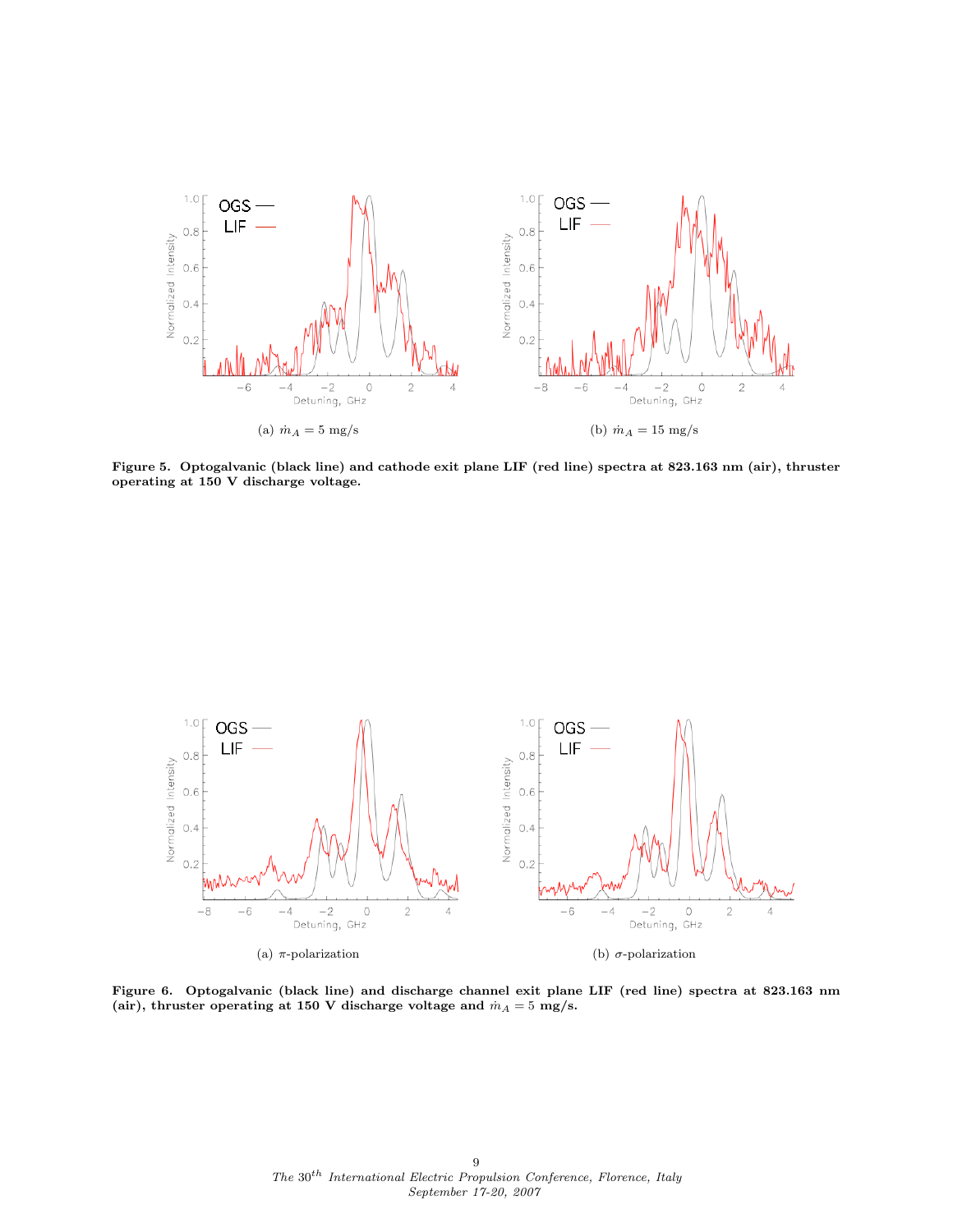

Figure 5. Optogalvanic (black line) and cathode exit plane LIF (red line) spectra at 823.163 nm (air), thruster operating at 150 V discharge voltage.



Figure 6. Optogalvanic (black line) and discharge channel exit plane LIF (red line) spectra at 823.163 nm (air), thruster operating at 150 V discharge voltage and  $\dot{m}_A = 5$  mg/s.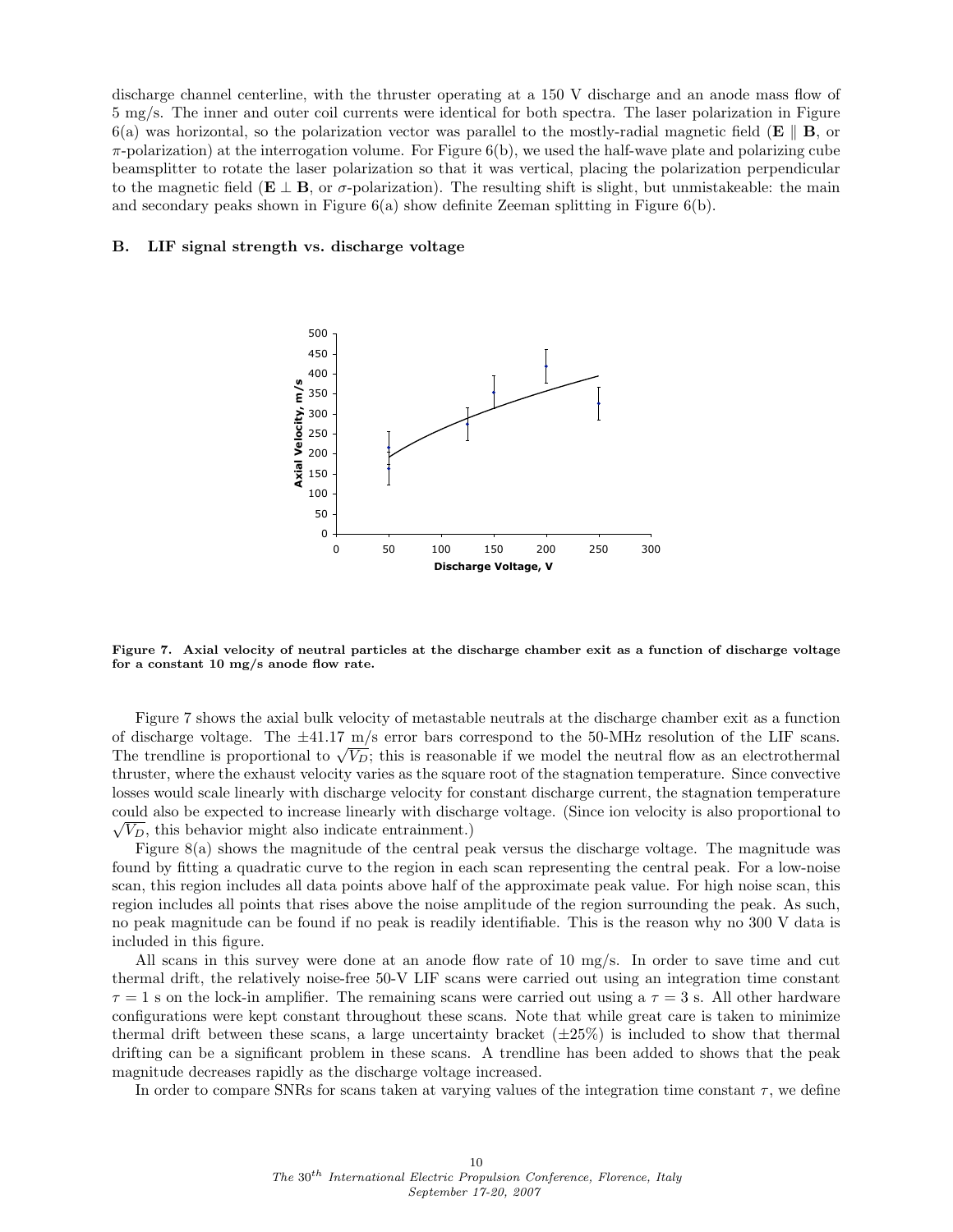discharge channel centerline, with the thruster operating at a 150 V discharge and an anode mass flow of 5 mg/s. The inner and outer coil currents were identical for both spectra. The laser polarization in Figure 6(a) was horizontal, so the polarization vector was parallel to the mostly-radial magnetic field  $(E \parallel B)$ , or  $\pi$ -polarization) at the interrogation volume. For Figure 6(b), we used the half-wave plate and polarizing cube beamsplitter to rotate the laser polarization so that it was vertical, placing the polarization perpendicular to the magnetic field ( $E \perp B$ , or  $\sigma$ -polarization). The resulting shift is slight, but unmistakeable: the main and secondary peaks shown in Figure 6(a) show definite Zeeman splitting in Figure 6(b).

#### B. LIF signal strength vs. discharge voltage



Figure 7. Axial velocity of neutral particles at the discharge chamber exit as a function of discharge voltage for a constant 10 mg/s anode flow rate.

Figure 7 shows the axial bulk velocity of metastable neutrals at the discharge chamber exit as a function of discharge voltage. The  $\pm$ 41.17 m/s error bars correspond to the 50-MHz resolution of the LIF scans. of discharge voltage. The  $\pm$ 41.17 m/s error bars correspond to the 30-MHz resolution of the Life scans.<br>The trendline is proportional to  $\sqrt{V_D}$ ; this is reasonable if we model the neutral flow as an electrothermal thruster, where the exhaust velocity varies as the square root of the stagnation temperature. Since convective losses would scale linearly with discharge velocity for constant discharge current, the stagnation temperature could also be expected to increase linearly with discharge voltage. (Since ion velocity is also proportional to √  $\sqrt{V_D}$ , this behavior might also indicate entrainment.)

Figure 8(a) shows the magnitude of the central peak versus the discharge voltage. The magnitude was found by fitting a quadratic curve to the region in each scan representing the central peak. For a low-noise scan, this region includes all data points above half of the approximate peak value. For high noise scan, this region includes all points that rises above the noise amplitude of the region surrounding the peak. As such, no peak magnitude can be found if no peak is readily identifiable. This is the reason why no 300 V data is included in this figure.

All scans in this survey were done at an anode flow rate of 10 mg/s. In order to save time and cut thermal drift, the relatively noise-free 50-V LIF scans were carried out using an integration time constant  $\tau = 1$  s on the lock-in amplifier. The remaining scans were carried out using a  $\tau = 3$  s. All other hardware configurations were kept constant throughout these scans. Note that while great care is taken to minimize thermal drift between these scans, a large uncertainty bracket  $(\pm 25\%)$  is included to show that thermal drifting can be a significant problem in these scans. A trendline has been added to shows that the peak magnitude decreases rapidly as the discharge voltage increased.

In order to compare SNRs for scans taken at varying values of the integration time constant  $\tau$ , we define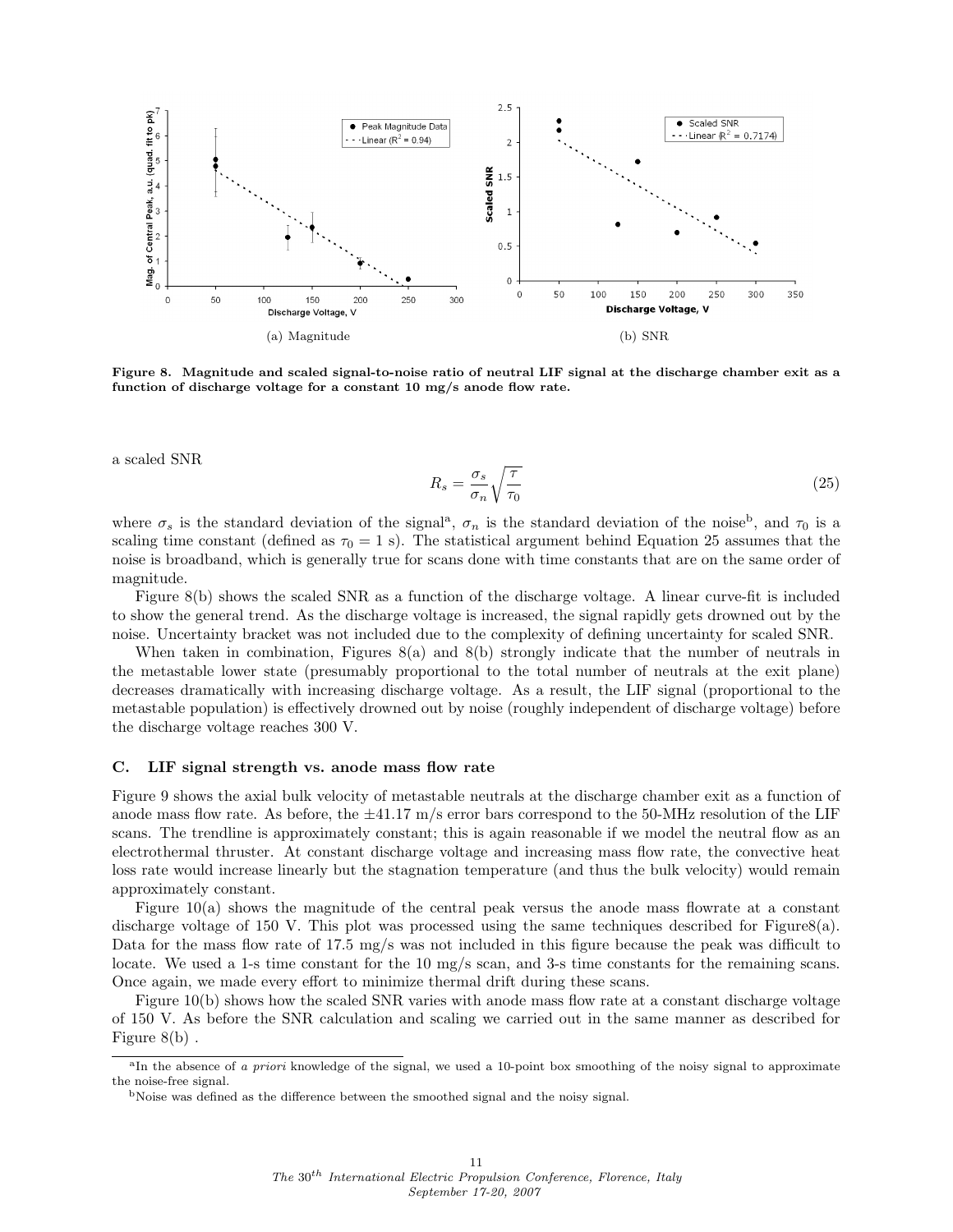

Figure 8. Magnitude and scaled signal-to-noise ratio of neutral LIF signal at the discharge chamber exit as a function of discharge voltage for a constant 10 mg/s anode flow rate.

a scaled SNR

$$
R_s = \frac{\sigma_s}{\sigma_n} \sqrt{\frac{\tau}{\tau_0}}
$$
\n<sup>(25)</sup>

where  $\sigma_s$  is the standard deviation of the signal<sup>a</sup>,  $\sigma_n$  is the standard deviation of the noise<sup>b</sup>, and  $\tau_0$  is a scaling time constant (defined as  $\tau_0 = 1$  s). The statistical argument behind Equation 25 assumes that the noise is broadband, which is generally true for scans done with time constants that are on the same order of magnitude.

Figure 8(b) shows the scaled SNR as a function of the discharge voltage. A linear curve-fit is included to show the general trend. As the discharge voltage is increased, the signal rapidly gets drowned out by the noise. Uncertainty bracket was not included due to the complexity of defining uncertainty for scaled SNR.

When taken in combination, Figures 8(a) and 8(b) strongly indicate that the number of neutrals in the metastable lower state (presumably proportional to the total number of neutrals at the exit plane) decreases dramatically with increasing discharge voltage. As a result, the LIF signal (proportional to the metastable population) is effectively drowned out by noise (roughly independent of discharge voltage) before the discharge voltage reaches 300 V.

### C. LIF signal strength vs. anode mass flow rate

Figure 9 shows the axial bulk velocity of metastable neutrals at the discharge chamber exit as a function of anode mass flow rate. As before, the  $\pm$ 41.17 m/s error bars correspond to the 50-MHz resolution of the LIF scans. The trendline is approximately constant; this is again reasonable if we model the neutral flow as an electrothermal thruster. At constant discharge voltage and increasing mass flow rate, the convective heat loss rate would increase linearly but the stagnation temperature (and thus the bulk velocity) would remain approximately constant.

Figure  $10(a)$  shows the magnitude of the central peak versus the anode mass flowrate at a constant discharge voltage of 150 V. This plot was processed using the same techniques described for Figure8(a). Data for the mass flow rate of 17.5 mg/s was not included in this figure because the peak was difficult to locate. We used a 1-s time constant for the 10 mg/s scan, and 3-s time constants for the remaining scans. Once again, we made every effort to minimize thermal drift during these scans.

Figure 10(b) shows how the scaled SNR varies with anode mass flow rate at a constant discharge voltage of 150 V. As before the SNR calculation and scaling we carried out in the same manner as described for Figure 8(b) .

<sup>&</sup>lt;sup>a</sup>In the absence of a priori knowledge of the signal, we used a 10-point box smoothing of the noisy signal to approximate the noise-free signal.

<sup>&</sup>lt;sup>b</sup>Noise was defined as the difference between the smoothed signal and the noisy signal.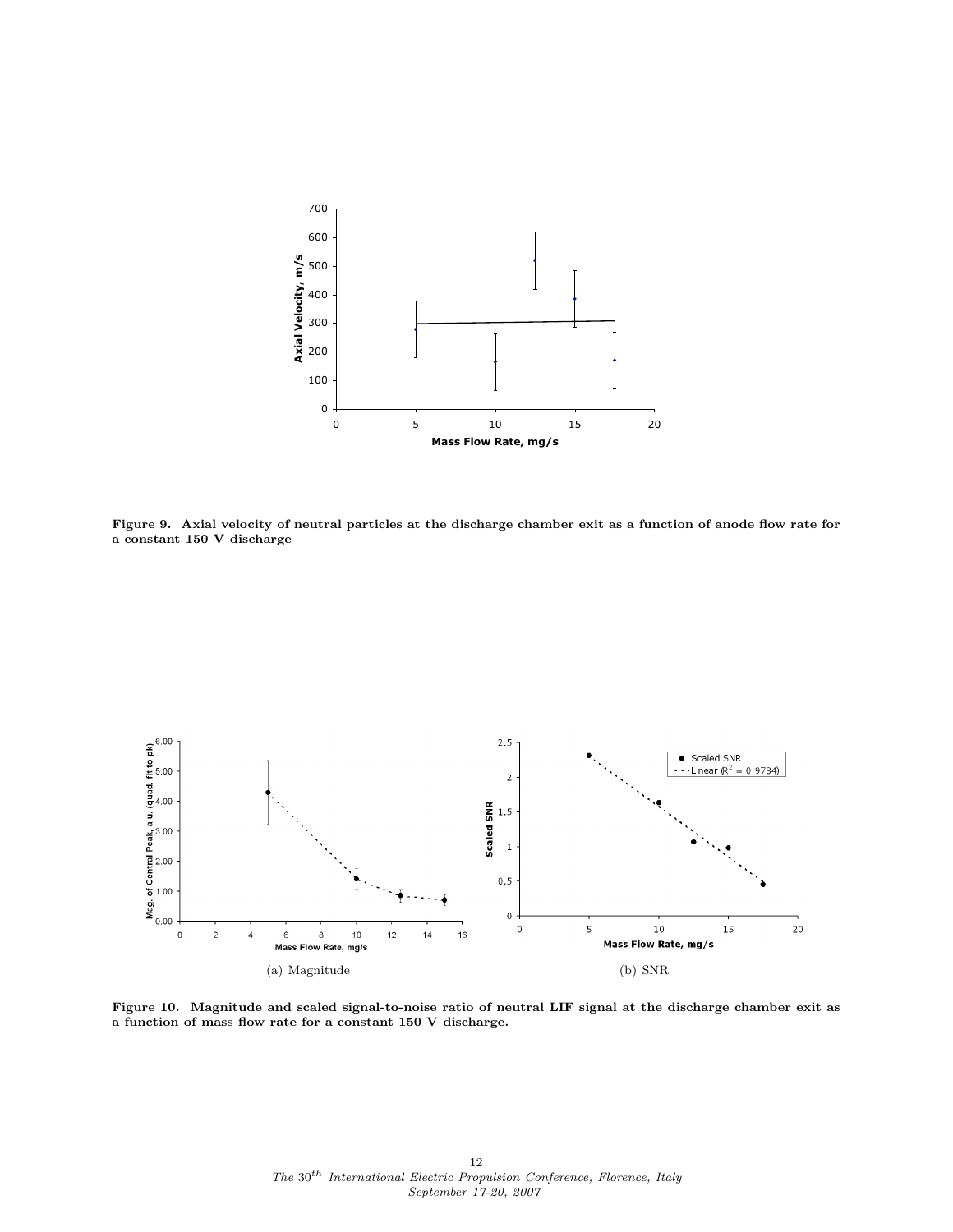

Figure 9. Axial velocity of neutral particles at the discharge chamber exit as a function of anode flow rate for a constant 150 V discharge



Figure 10. Magnitude and scaled signal-to-noise ratio of neutral LIF signal at the discharge chamber exit as a function of mass flow rate for a constant 150 V discharge.